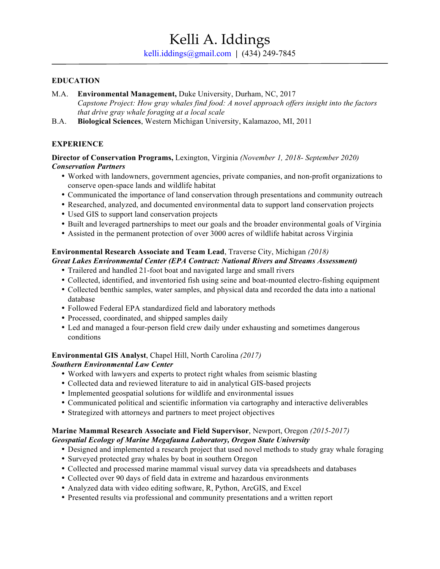#### **EDUCATION**

- M.A. **Environmental Management,** Duke University, Durham, NC, 2017 *Capstone Project: How gray whales find food: A novel approach offers insight into the factors that drive gray whale foraging at a local scale*
- B.A. **Biological Sciences**, Western Michigan University, Kalamazoo, MI, 2011

# **EXPERIENCE**

**Director of Conservation Programs,** Lexington, Virginia *(November 1, 2018- September 2020) Conservation Partners*

- Worked with landowners, government agencies, private companies, and non-profit organizations to conserve open-space lands and wildlife habitat
- Communicated the importance of land conservation through presentations and community outreach
- Researched, analyzed, and documented environmental data to support land conservation projects
- Used GIS to support land conservation projects
- Built and leveraged partnerships to meet our goals and the broader environmental goals of Virginia
- Assisted in the permanent protection of over 3000 acres of wildlife habitat across Virginia

# **Environmental Research Associate and Team Lead**, Traverse City, Michigan *(2018)*

### *Great Lakes Environmental Center (EPA Contract: National Rivers and Streams Assessment)*

- Trailered and handled 21-foot boat and navigated large and small rivers
- Collected, identified, and inventoried fish using seine and boat-mounted electro-fishing equipment
- Collected benthic samples, water samples, and physical data and recorded the data into a national database
- Followed Federal EPA standardized field and laboratory methods
- Processed, coordinated, and shipped samples daily
- Led and managed a four-person field crew daily under exhausting and sometimes dangerous conditions

# **Environmental GIS Analyst**, Chapel Hill, North Carolina *(2017)*

# *Southern Environmental Law Center*

- Worked with lawyers and experts to protect right whales from seismic blasting
- Collected data and reviewed literature to aid in analytical GIS-based projects
- Implemented geospatial solutions for wildlife and environmental issues
- Communicated political and scientific information via cartography and interactive deliverables
- Strategized with attorneys and partners to meet project objectives

#### **Marine Mammal Research Associate and Field Supervisor**, Newport, Oregon *(2015-2017) Geospatial Ecology of Marine Megafauna Laboratory, Oregon State University*

- Designed and implemented a research project that used novel methods to study gray whale foraging
- Surveyed protected gray whales by boat in southern Oregon
- Collected and processed marine mammal visual survey data via spreadsheets and databases
- Collected over 90 days of field data in extreme and hazardous environments
- Analyzed data with video editing software, R, Python, ArcGIS, and Excel
- Presented results via professional and community presentations and a written report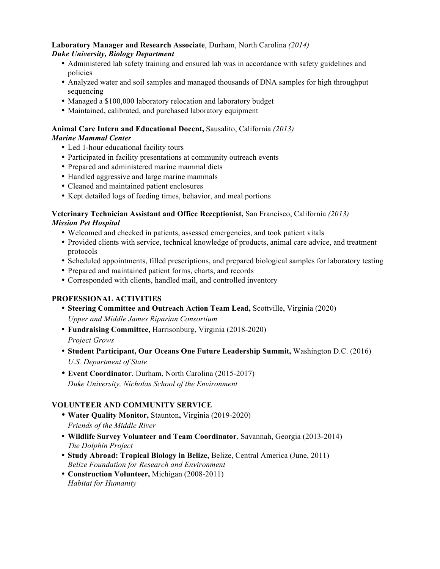#### **Laboratory Manager and Research Associate**, Durham, North Carolina *(2014) Duke University, Biology Department*

- Administered lab safety training and ensured lab was in accordance with safety guidelines and policies
- Analyzed water and soil samples and managed thousands of DNA samples for high throughput sequencing
- Managed a \$100,000 laboratory relocation and laboratory budget
- Maintained, calibrated, and purchased laboratory equipment

#### **Animal Care Intern and Educational Docent,** Sausalito, California *(2013) Marine Mammal Center*

- Led 1-hour educational facility tours
- Participated in facility presentations at community outreach events
- Prepared and administered marine mammal diets
- Handled aggressive and large marine mammals
- Cleaned and maintained patient enclosures
- Kept detailed logs of feeding times, behavior, and meal portions

#### **Veterinary Technician Assistant and Office Receptionist,** San Francisco, California *(2013) Mission Pet Hospital*

- Welcomed and checked in patients, assessed emergencies, and took patient vitals
- Provided clients with service, technical knowledge of products, animal care advice, and treatment protocols
- Scheduled appointments, filled prescriptions, and prepared biological samples for laboratory testing
- Prepared and maintained patient forms, charts, and records
- Corresponded with clients, handled mail, and controlled inventory

# **PROFESSIONAL ACTIVITIES**

- **Steering Committee and Outreach Action Team Lead,** Scottville, Virginia (2020) *Upper and Middle James Riparian Consortium*
- **Fundraising Committee,** Harrisonburg, Virginia (2018-2020) *Project Grows*
- **Student Participant, Our Oceans One Future Leadership Summit,** Washington D.C. (2016) *U.S. Department of State*
- **Event Coordinator**, Durham, North Carolina (2015-2017) *Duke University, Nicholas School of the Environment*

# **VOLUNTEER AND COMMUNITY SERVICE**

- **Water Quality Monitor,** Staunton**,** Virginia (2019-2020) *Friends of the Middle River*
- **Wildlife Survey Volunteer and Team Coordinator**, Savannah, Georgia (2013-2014) *The Dolphin Project*
- **Study Abroad: Tropical Biology in Belize,** Belize, Central America (June, 2011) *Belize Foundation for Research and Environment*
- **Construction Volunteer,** Michigan (2008-2011) *Habitat for Humanity*